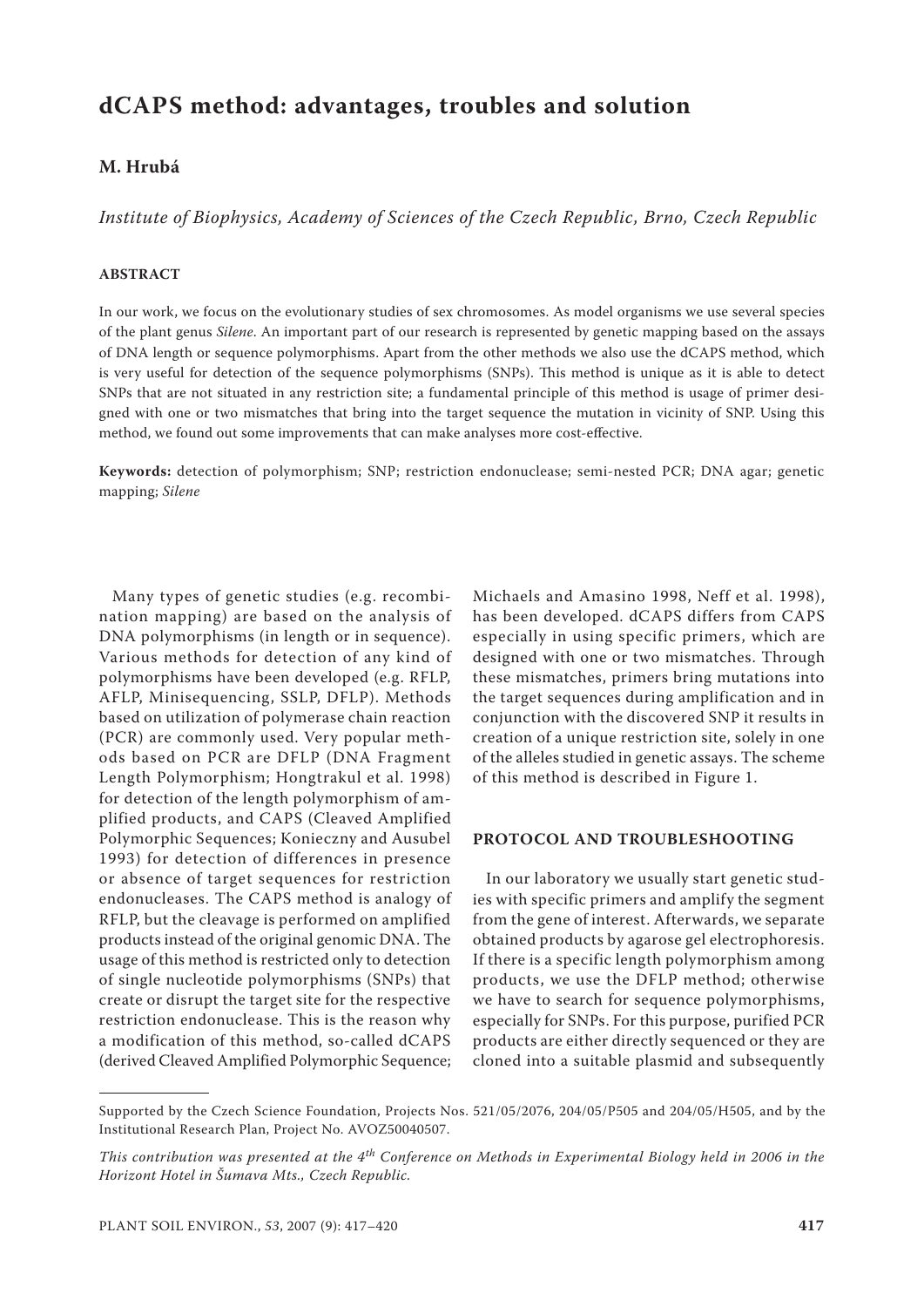# **dCAPS method: advantages, troubles and solution**

## **M. Hrubá**

*Institute of Biophysics, Academy of Sciences of the Czech Republic, Brno, Czech Republic*

### **ABSTRACT**

In our work, we focus on the evolutionary studies of sex chromosomes. As model organisms we use several species of the plant genus *Silene*. An important part of our research is represented by genetic mapping based on the assays of DNA length or sequence polymorphisms. Apart from the other methods we also use the dCAPS method, which is very useful for detection of the sequence polymorphisms (SNPs). This method is unique as it is able to detect SNPs that are not situated in any restriction site; a fundamental principle of this method is usage of primer designed with one or two mismatches that bring into the target sequence the mutation in vicinity of SNP. Using this method, we found out some improvements that can make analyses more cost-effective.

**Keywords:** detection of polymorphism; SNP; restriction endonuclease; semi-nested PCR; DNA agar; genetic mapping; *Silene*

Many types of genetic studies (e.g. recombination mapping) are based on the analysis of DNA polymorphisms (in length or in sequence). Various methods for detection of any kind of polymorphisms have been developed (e.g. RFLP, AFLP, Minisequencing, SSLP, DFLP). Methods based on utilization of polymerase chain reaction (PCR) are commonly used. Very popular methods based on PCR are DFLP (DNA Fragment Length Polymorphism; Hongtrakul et al. 1998) for detection of the length polymorphism of amplified products, and CAPS (Cleaved Amplified Polymorphic Sequences; Konieczny and Ausubel 1993) for detection of differences in presence or absence of target sequences for restriction endonucleases. The CAPS method is analogy of RFLP, but the cleavage is performed on amplified products instead of the original genomic DNA. The usage of this method is restricted only to detection of single nucleotide polymorphisms (SNPs) that create or disrupt the target site for the respective restriction endonuclease. This is the reason why a modification of this method, so-called dCAPS (derived Cleaved Amplified Polymorphic Sequence;

Michaels and Amasino 1998, Neff et al. 1998), has been developed. dCAPS differs from CAPS especially in using specific primers, which are designed with one or two mismatches. Through these mismatches, primers bring mutations into the target sequences during amplification and in conjunction with the discovered SNP it results in creation of a unique restriction site, solely in one of the alleles studied in genetic assays. The scheme of this method is described in Figure 1.

## **PROTOCOL AND TROUBLESHOOTING**

In our laboratory we usually start genetic studies with specific primers and amplify the segment from the gene of interest. Afterwards, we separate obtained products by agarose gel electrophoresis. If there is a specific length polymorphism among products, we use the DFLP method; otherwise we have to search for sequence polymorphisms, especially for SNPs. For this purpose, purified PCR products are either directly sequenced or they are cloned into a suitable plasmid and subsequently

Supported by the Czech Science Foundation, Projects Nos. 521/05/2076, 204/05/P505 and 204/05/H505, and by the Institutional Research Plan, Project No. AVOZ50040507.

*This contribution was presented at the 4th Conference on Methods in Experimental Biology held in 2006 in the Horizont Hotel in Šumava Mts., Czech Republic.*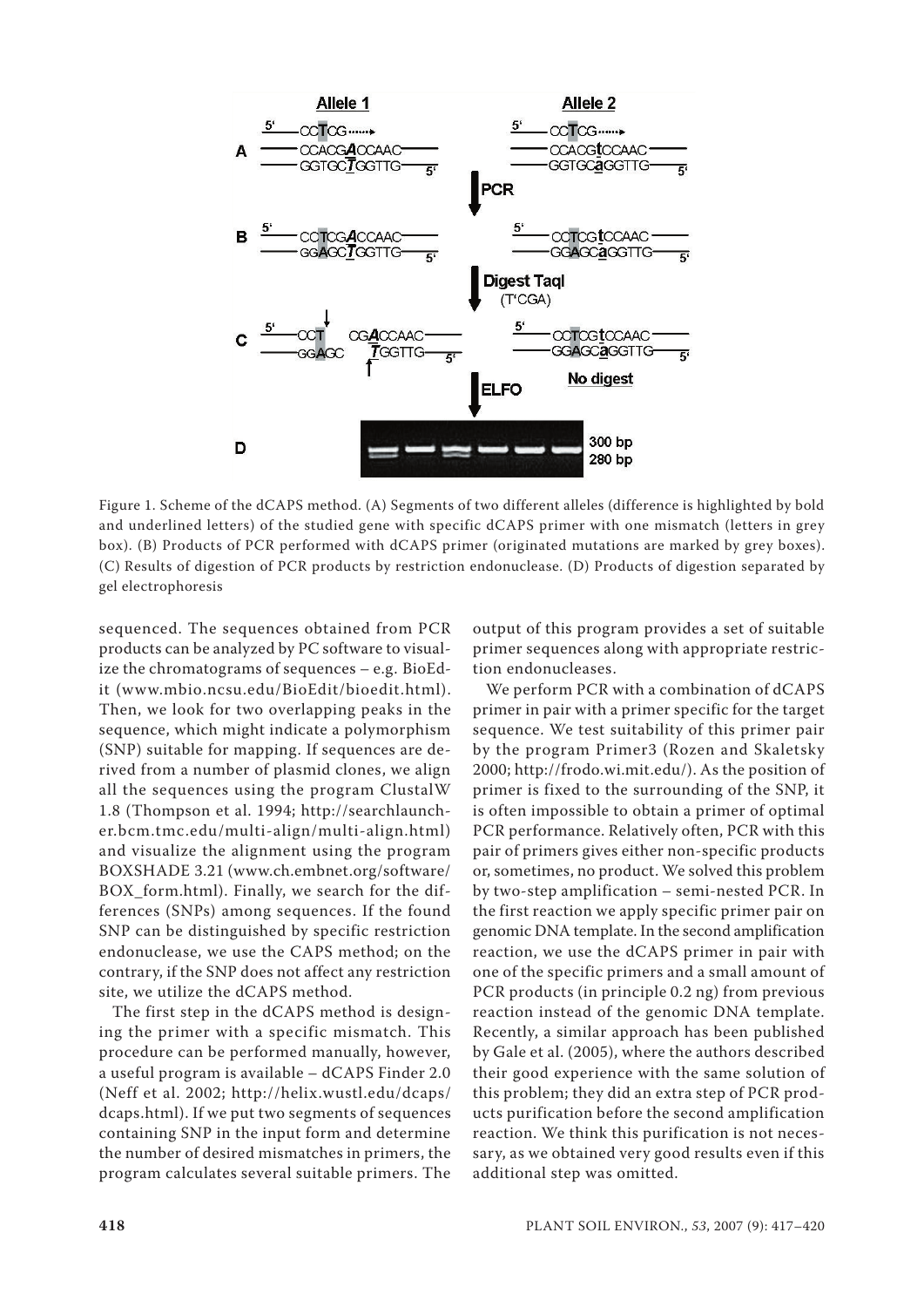

Figure 1. Scheme of the dCAPS method. (A) Segments of two different alleles (difference is highlighted by bold and underlined letters) of the studied gene with specific dCAPS primer with one mismatch (letters in grey box). (B) Products of PCR performed with dCAPS primer (originated mutations are marked by grey boxes). (C) Results of digestion of PCR products by restriction endonuclease. (D) Products of digestion separated by gel electrophoresis

sequenced. The sequences obtained from PCR products can be analyzed by PC software to visualize the chromatograms of sequences – e.g. BioEdit (www.mbio.ncsu.edu/BioEdit/bioedit.html). Then, we look for two overlapping peaks in the sequence, which might indicate a polymorphism (SNP) suitable for mapping. If sequences are derived from a number of plasmid clones, we align all the sequences using the program ClustalW 1.8 (Thompson et al. 1994; http://searchlauncher.bcm.tmc.edu/multi-align/multi-align.html) and visualize the alignment using the program BOXSHADE 3.21 (www.ch.embnet.org/software/ BOX\_form.html). Finally, we search for the differences (SNPs) among sequences. If the found SNP can be distinguished by specific restriction endonuclease, we use the CAPS method; on the contrary, if the SNP does not affect any restriction site, we utilize the dCAPS method.

The first step in the dCAPS method is designing the primer with a specific mismatch. This procedure can be performed manually, however, a useful program is available – dCAPS Finder 2.0 (Neff et al. 2002; http://helix.wustl.edu/dcaps/ dcaps.html). If we put two segments of sequences containing SNP in the input form and determine the number of desired mismatches in primers, the program calculates several suitable primers. The

output of this program provides a set of suitable primer sequences along with appropriate restriction endonucleases.

We perform PCR with a combination of dCAPS primer in pair with a primer specific for the target sequence. We test suitability of this primer pair by the program Primer3 (Rozen and Skaletsky 2000; http://frodo.wi.mit.edu/). As the position of primer is fixed to the surrounding of the SNP, it is often impossible to obtain a primer of optimal PCR performance. Relatively often, PCR with this pair of primers gives either non-specific products or, sometimes, no product. We solved this problem by two-step amplification – semi-nested PCR. In the first reaction we apply specific primer pair on genomic DNA template. In the second amplification reaction, we use the dCAPS primer in pair with one of the specific primers and a small amount of PCR products (in principle 0.2 ng) from previous reaction instead of the genomic DNA template. Recently, a similar approach has been published by Gale et al. (2005), where the authors described their good experience with the same solution of this problem; they did an extra step of PCR products purification before the second amplification reaction. We think this purification is not necessary, as we obtained very good results even if this additional step was omitted.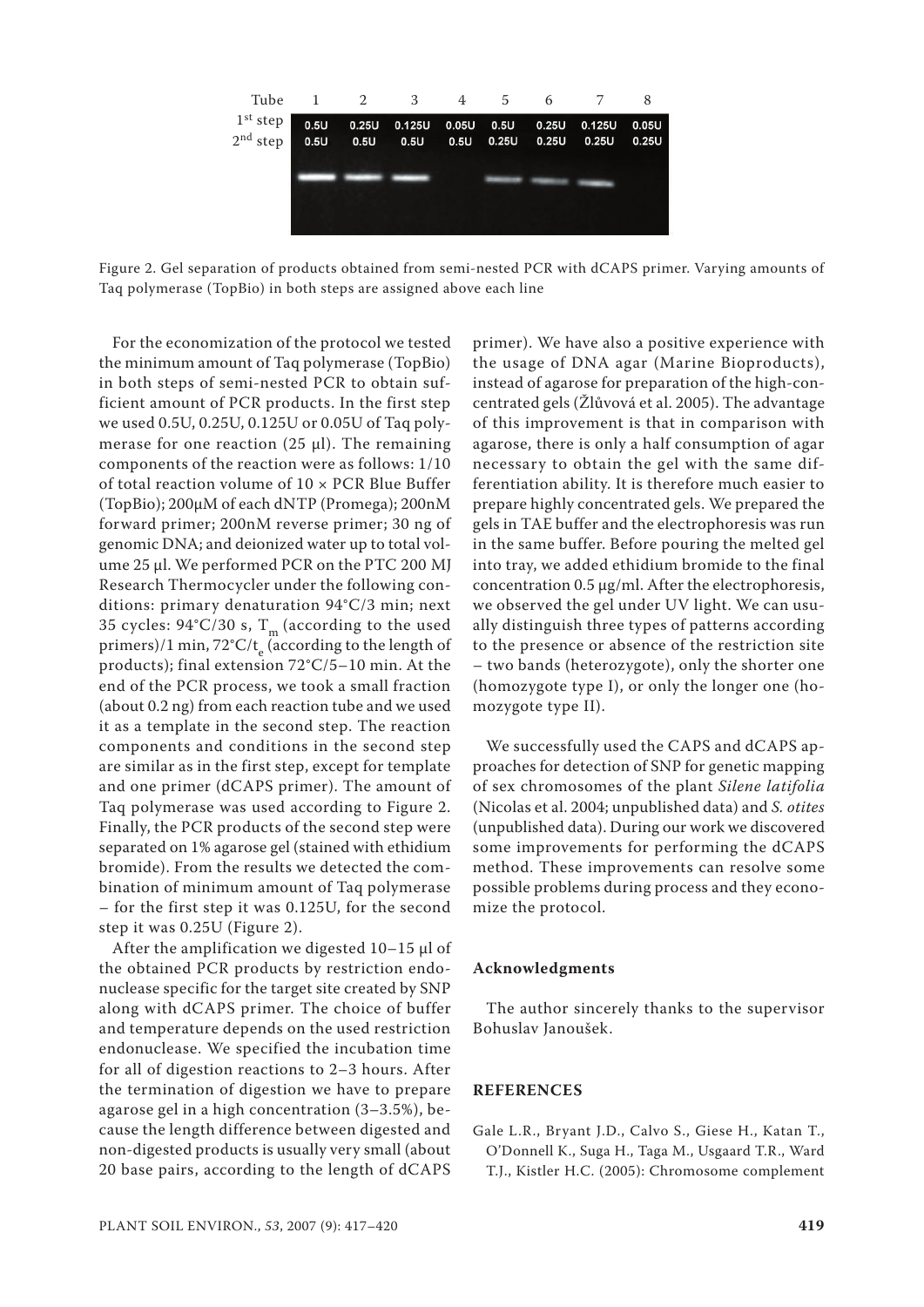

Figure 2. Gel separation of products obtained from semi-nested PCR with dCAPS primer. Varying amounts of Taq polymerase (TopBio) in both steps are assigned above each line

For the economization of the protocol we tested the minimum amount of Taq polymerase (TopBio) in both steps of semi-nested PCR to obtain sufficient amount of PCR products. In the first step we used 0.5U, 0.25U, 0.125U or 0.05U of Taq polymerase for one reaction (25  $\mu$ l). The remaining components of the reaction were as follows: 1/10 of total reaction volume of 10 × PCR Blue Buffer (TopBio); 200µM of each dNTP (Promega); 200nM forward primer; 200nM reverse primer; 30 ng of genomic DNA; and deionized water up to total volume 25 µl. We performed PCR on the PTC 200 MJ Research Thermocycler under the following conditions: primary denaturation 94°C/3 min; next 35 cycles:  $94^{\circ}$ C/30 s, T<sub>m</sub> (according to the used primers)/1 min,  $72^{\circ}$ C/t<sub>e</sub> (according to the length of products); final extension 72°C/5–10 min. At the end of the PCR process, we took a small fraction (about 0.2 ng) from each reaction tube and we used it as a template in the second step. The reaction components and conditions in the second step are similar as in the first step, except for template and one primer (dCAPS primer). The amount of Taq polymerase was used according to Figure 2. Finally, the PCR products of the second step were separated on 1% agarose gel (stained with ethidium bromide). From the results we detected the combination of minimum amount of Taq polymerase – for the first step it was 0.125U, for the second step it was 0.25U (Figure 2).

After the amplification we digested  $10-15$  µl of the obtained PCR products by restriction endonuclease specific for the target site created by SNP along with dCAPS primer. The choice of buffer and temperature depends on the used restriction endonuclease. We specified the incubation time for all of digestion reactions to 2–3 hours. After the termination of digestion we have to prepare agarose gel in a high concentration (3–3.5%), because the length difference between digested and non-digested products is usually very small (about 20 base pairs, according to the length of dCAPS

primer). We have also a positive experience with the usage of DNA agar (Marine Bioproducts), instead of agarose for preparation of the high-concentrated gels (Žlůvová et al. 2005). The advantage of this improvement is that in comparison with agarose, there is only a half consumption of agar necessary to obtain the gel with the same differentiation ability. It is therefore much easier to prepare highly concentrated gels. We prepared the gels in TAE buffer and the electrophoresis was run in the same buffer. Before pouring the melted gel into tray, we added ethidium bromide to the final concentration 0.5 µg/ml. After the electrophoresis, we observed the gel under UV light. We can usually distinguish three types of patterns according to the presence or absence of the restriction site – two bands (heterozygote), only the shorter one (homozygote type I), or only the longer one (homozygote type II).

We successfully used the CAPS and dCAPS approaches for detection of SNP for genetic mapping of sex chromosomes of the plant *Silene latifolia* (Nicolas et al. 2004; unpublished data) and *S. otites* (unpublished data). During our work we discovered some improvements for performing the dCAPS method. These improvements can resolve some possible problems during process and they economize the protocol.

## **Acknowledgments**

The author sincerely thanks to the supervisor Bohuslav Janoušek.

### **REFERENCES**

Gale L.R., Bryant J.D., Calvo S., Giese H., Katan T., O'Donnell K., Suga H., Taga M., Usgaard T.R., Ward T.J., Kistler H.C. (2005): Chromosome complement